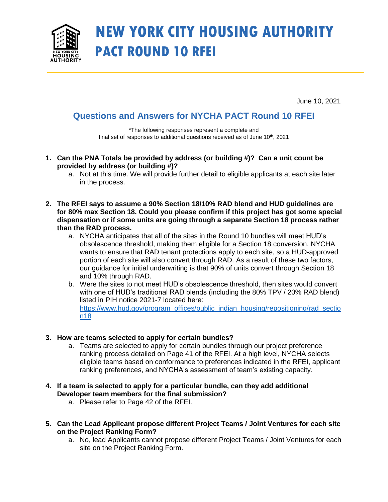

## **NEW YORK CITY HOUSING AUTHORITY PACT ROUND 10 RFEI**

June 10, 2021

## **Questions and Answers for NYCHA PACT Round 10 RFEI**

\*The following responses represent a complete and final set of responses to additional questions received as of June  $10<sup>th</sup>$ , 2021

- **1. Can the PNA Totals be provided by address (or building #)? Can a unit count be provided by address (or building #)?**
	- a. Not at this time. We will provide further detail to eligible applicants at each site later in the process.
- **2. The RFEI says to assume a 90% Section 18/10% RAD blend and HUD guidelines are for 80% max Section 18. Could you please confirm if this project has got some special dispensation or if some units are going through a separate Section 18 process rather than the RAD process.**
	- a. NYCHA anticipates that all of the sites in the Round 10 bundles will meet HUD's obsolescence threshold, making them eligible for a Section 18 conversion. NYCHA wants to ensure that RAD tenant protections apply to each site, so a HUD-approved portion of each site will also convert through RAD. As a result of these two factors, our guidance for initial underwriting is that 90% of units convert through Section 18 and 10% through RAD.
	- b. Were the sites to not meet HUD's obsolescence threshold, then sites would convert with one of HUD's traditional RAD blends (including the 80% TPV / 20% RAD blend) listed in PIH notice 2021-7 located here: [https://www.hud.gov/program\\_offices/public\\_indian\\_housing/repositioning/rad\\_sectio](https://www.hud.gov/program_offices/public_indian_housing/repositioning/rad_section18) [n18](https://www.hud.gov/program_offices/public_indian_housing/repositioning/rad_section18)

## **3. How are teams selected to apply for certain bundles?**

- a. Teams are selected to apply for certain bundles through our project preference ranking process detailed on Page 41 of the RFEI. At a high level, NYCHA selects eligible teams based on conformance to preferences indicated in the RFEI, applicant ranking preferences, and NYCHA's assessment of team's existing capacity.
- **4. If a team is selected to apply for a particular bundle, can they add additional Developer team members for the final submission?**
	- a. Please refer to Page 42 of the RFEI.
- **5. Can the Lead Applicant propose different Project Teams / Joint Ventures for each site on the Project Ranking Form?** 
	- a. No, lead Applicants cannot propose different Project Teams / Joint Ventures for each site on the Project Ranking Form.